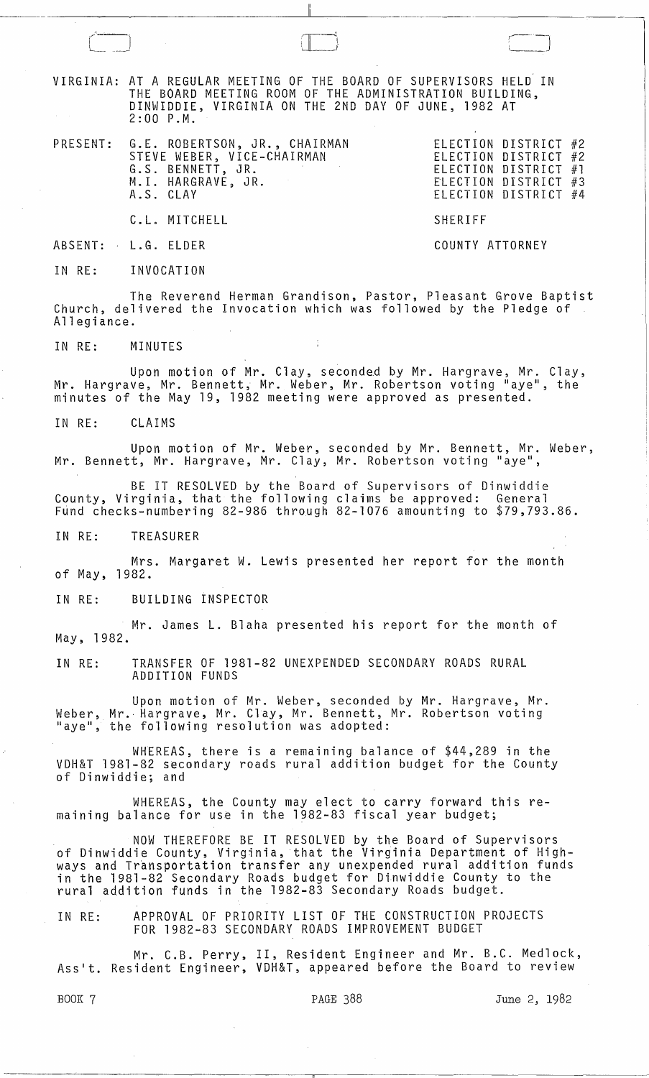VIRGINIA: AT A REGULAR MEETING OF THE BOARD OF SUPERVISORS HELD IN THE BOARD MEETING ROOM OF THE ADMINISTRATION BUILDING, DINWIDDIE, VIRGINIA ON THE 2ND DAY OF JUNE, 1982 AT 2:00 P.M.

 $\Box$ 

PRESENT: G.E. ROBERTSON, JR., CHAIRMAN STEVE WEBER, VICE-CHAIRMAN G.S. BENNETT, JR. M.l. HARGRAVE, JR. A.S. CLAY

ELECTION DISTRICT #2 ELECTION DISTRICT #2 ELECTION DISTRICT #1 ELECTION DISTRICT #3 ELECTION DISTRICT #4

C.L. MITCHELL SHERIFF

ABSENT: L.G. ELDER COUNTY ATTORNEY

 $\sqrt{1-\frac{1}{2}}$  $\sqsubseteq$   $\sqcup$ 

IN RE: INVOCATION

The Reverend Herman Grandison, Pastor, Pleasant Grove Baptist Church, delivered the Invocation which was followed by the Pledge of Allegiance.

IN RE: MINUTES

Upon motion of Mr. Clay, seconded by Mr. Hargrave, Mr. Clay, Mr. Hargrave, Mr. Bennett, Mr. Weber, Mr. Robertson voting "aye", the minutes of the May 19, 1982 meeting were approved as presented.

IN RE: CLAIMS

Upon motion of Mr. Weber, seconded by Mr. Bennett, Mr. Weber, Mr. Bennett, Mr. Hargrave, Mr. Clay, Mr. Robertson voting "aye",

BE IT RESOLVED by the Board of Supervisors of Dinwiddie County, Virginia, that the following claims be approved: General Fund checks-numbering 82-986 through 82-1076 amounting to  $$79,793.86$ .

IN RE: TREASURER

Mrs. Margaret W. Lewis presented her report for the month of May, 1982.

IN RE: BUILDING INSPECTOR

Mr. James **L.** Blaha presented his report for the month of May, 1982.

IN RE: TRANSFER OF 1981-82 UNEXPENDED SECONDARY ROADS RURAL ADDITION FUNDS

Upon motion of Mr. Weber, seconded by Mr. Hargrave, Mr. Weber, Mr. Hargrave, Mr. Clay, Mr. Bennett, Mr. Robertson voting<br>"aye", the following resolution was adopted:

WHEREAS, there is a remaining balance of \$44,289 in the VDH&T 1981-82 secondary roads rural addition budget for the County of Dinwiddie; and

WHEREAS, the County may elect to carry forward this remaining balance for use in the 1982-83 fiscal year budget;

NOW THEREFORE BE IT RESOLVED by the Board of Supervisors of Dinwiddie County, Virginia,that the Virginia Department of Highof Binnicate councy, informal chao che informal soperement of might in the 1981-82 Secondary Roads budget for Dinwiddie County to the rural addition funds in the 1982-83 Secondary Roads budget.

IN RE: APPROVAL OF PRIORITY LIST OF THE CONSTRUCTION PROJECTS FOR 1982-83 SECONDARY ROADS IMPROVEMENT BUDGET

Mr. C.B. Perry, II, Resident Engineer and Mr. B.C. Medlock, Asslt. Resident Engineer, VDH&T, appeared before the Board to review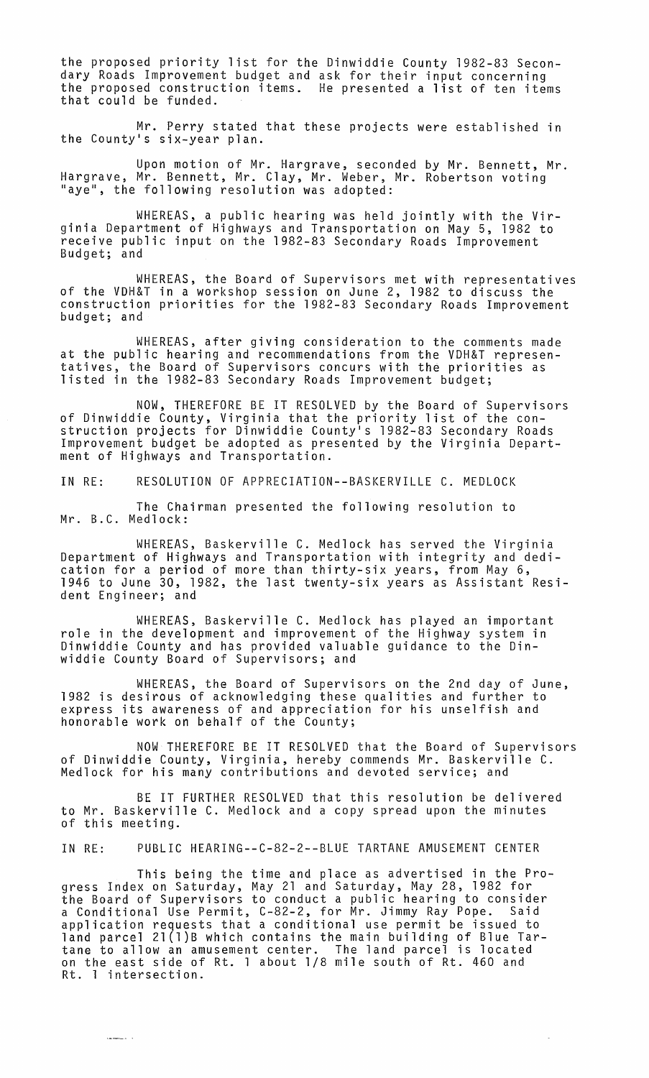the proposed priority list for the Dinwiddie County 1982-83 Secondary Roads Improvement budget and ask for their input concerning the proposed construction items. He presented a list of ten items that could be funded.

Mr. Perry stated that these projects were established in the County's six-year plan.

Upon motion of Mr. Hargrave, seconded by Mr. Bennett, Mr. Hargrave, Mr. Bennett, Mr. Clay, Mr. Weber, Mr. Robertson voting "aye", the following resolution was adopted:

WHEREAS, a public hearing was held jointly with the Virginia Department of Highways and Transportation on May 5, 1982 to receive public input on the 1982-83 Secondary Roads Improvement<br>Budget; and

WHEREAS, the Board of Supervisors met with representatives of the VDH&T in a workshop session on June 2, 1982 to discuss the construction priorities for the 1982-83 Secondary Roads Improvement budget; and

WHEREAS, after giving consideration to the comments made at the public hearing and recommendations from the VDH&T representatives, the Board of Supervisors concurs with the priorities as listed in the 1982-83 Secondary Roads Improvement budget;

NOW, THEREFORE BE IT RESOLVED by the Board of Supervisors of Dinwiddie County, Virginia that the priority list of the construction projects for Dinwiddie County's 1982-83 Secondary Roads Improvement budget be adopted as presented by the Virginia Department of Highways and Transportation.

IN RE: RESOLUTION OF APPRECIATION--BASKERVILLE C. MEDLOCK

The Chairman presented the following resolution to Mr. B.C. Medlock:

WHEREAS, Baskerville C. Medlock has served the Virginia Department of Highways and Transportation with integrity and dedication for a period of more than thirty-six years, from May 6, 1946 to June 30, 1982, the last twenty-six years as Assistant Resident Engineer; and

WHEREAS, Baskerville C. Medlock has played an important role in the development and improvement of the Highway system in Dinwiddie County and has provided valuable guidance to the Dinwiddie County Board of Supervisors; and

WHEREAS, the Board of Supervisors on the 2nd day of June, 1982 is desirous of acknowledging these qualities and further to express its awareness of and appreciation for his unselfish and honorable work on behalf of the County;

NOW THEREFORE BE IT RESOLVED that the Board of Supervisors of Dinwiddie County, Virginia, hereby commends Mr. Baskerville C. Medlock for his many contributions and devoted service; and

BE IT FURTHER RESOLVED that this resolution be delivered to Mr. Baskerville C. Medlock and a copy spread upon the minutes of this meeting.

IN RE: PUBLIC HEARING--C-82-2--BLUE TARTANE AMUSEMENT CENTER

This being the time and place as advertised in the Progress Index on Saturday, May 21 and Saturday, May 28, 1982 for the Board of Supervisors to conduct a public hearing to consider a Conditional Use Permit, C-82-2, for Mr. Jimmy Ray Pope. Said application requests that a conditional use permit be issued to land parcel 2l(1)B which contains the main building of Blue Tartane to allow an amusement center. The land parcel is located on the east side of Rt. 1 about 1/8 mile south of Rt. 460 and Rt. 1 intersection.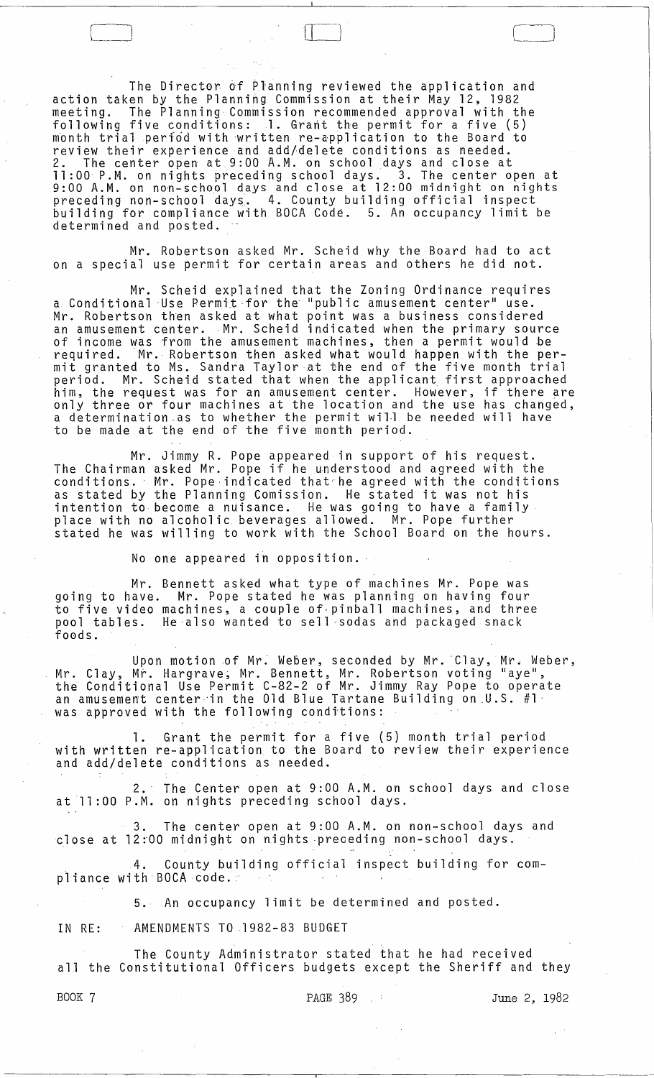The Director 6f Planning reviewed the application and action taken by the Planning Commission at their May 12, 1982 meeting. The Planning Commission recommended approval with the following five conditions:  $1.$  Grant the permit for a five (5) month trial period with written re-application to the Board to review their experience and add/delete conditions as needed. 2. The center open at 9:00 A.M. on school days and close at 11:00 P.M. on nights preceding school days. 3. The center open at 9:00 A.M. on non-school days and close at 12:00 midnight on nights preceding non-school days. 4. County building official inspect building for compliance with BOCA Code. 5. An occupancy limit be determined and posted.

 $\Box$ 

Mr. Robertson asked Mr. Scheid why the Board had to act on a special use permit for certain areas and others he did not.

Mr. Scheid explained that the Zoning Ordinance requires a Conditional 'Use Permit ·for the "publ ic amusement center" use. Mr. Robertson then asked at what point was a business considered an amusement center. Mr. Scheid indicated when the primary source of income was from the amusement machines, then a permit would .be required. Mr. Robertson then asked what would happen with the permit granted to Ms. Sahdfa Taylor at the end of the five month trial period. Mr. Scheid stated that when the applicant first approached him, the request was for an amusement center. However, if there are him, the request was for an amusement center. However, if there are only three or four machines at the location and the use has changed, a determination.as to whether the permit will be needed will have to be made at the end of the five month period.

Mr. Jimmy R. Pope appeared in support of his request. The Chairman asked Mr. Pope if he understood and agreed with the ine chairman asked mr. rope in he understood and agreed with the<br>conditions. Mr. Pope indicated that he agreed with the conditions as stated by the Planning Comission. He stated it was not his intention to become a nuisance. He was going to have a family place with no alcoholic beverages allowed. Mr. Pope further stated he was willing to work with the School Board on the hours.

No one appeared in opposition.

Mr. Bennett asked what type of machines Mr. Pope was going to have. Mr. Pope stated he was planning on having four to five video machines, a couple of-pinball machines, and three pool tables. He ·also wanted to sell -sodas and packaged snack foods.

Upon motion of Mr. Weber, seconded by Mr. 'Clay, Mr. Weber, Mr. Clay, Mr. Hargrave; Mr. Bennett, Mr. Robertson voting "aye", the Conditional Use Permit C-82-2 of Mr. Jimmy Ray Pope to operate an amusement center'in the Old Blue Tartane Building on.U.S. #1· was approved with the following conditions:

1. Grant the permit for a five (5) month trial period with written re-application to the Board to review their experience and add/delete conditions as needed.

2.' The Center open at 9:00 A.M. on school days and close at 11 :00 P.M. on nights preceding school days.

3. The center open at 9:00 A.M. on non-school days and close at 12:00 midnight on nights preceding non-school days.

4. County building official inspect building for compliance with BOCA code. .

5. An occupancy limit be determined and posted.

IN RE: AMENDMENTS TO 1982-83 BUDGET

The County Administrator stated that he had received all the Constitutional Officers budgets except the Sheriff and they

------~------------..---------------------~-.-----

BOOK 7 **PAGE 389**  $\cdot$  June 2, 1982

السينسيا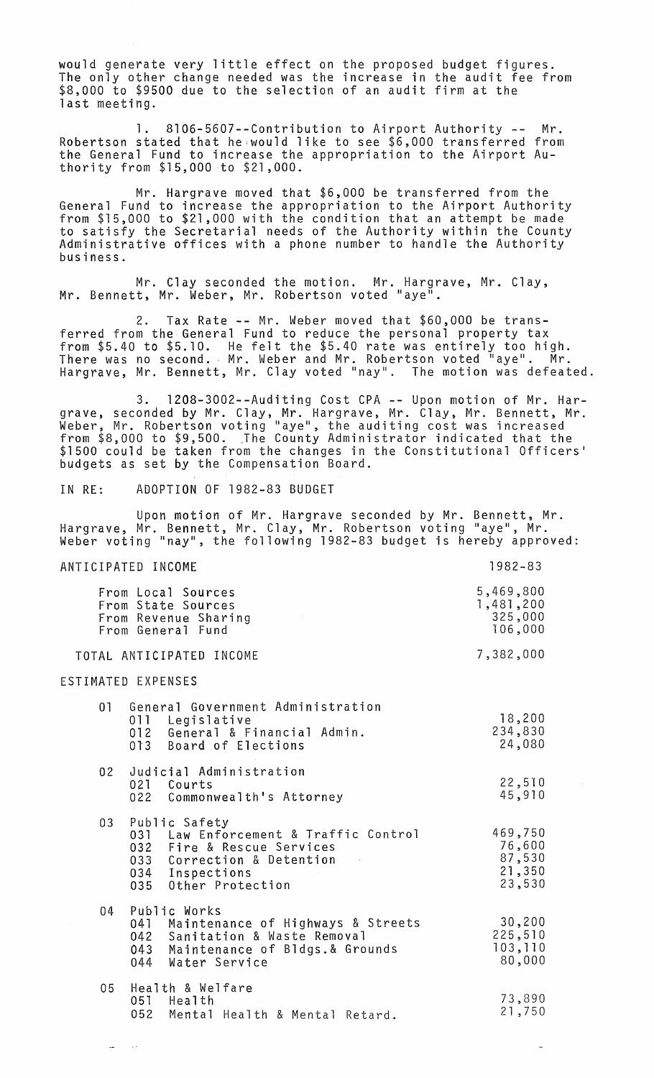would generate very little effect on the proposed budget figures. The only other change needed was the increase in the audit fee from \$8,000 to \$9500 due to the selection of an audit firm at the last meeting.

1. 8106-5607--Contribution to Airport Authority -- Mr. Robertson stated that he;wou1d like to see \$6,000 transferred from the General Fund to increase the appropriation to the Airport Authority from \$15,000 to \$21,000.

Mr. Hargrave moved that \$6,000 be transferred from the General Fund to increase the appropriation to the Airport Authority from \$15,000 to \$21,000 with the condition that an attempt be made to satisfy the Secretarial needs of the Authority within the County Administrative offices with a phone number to handle the Authority $\check{ }$ business.

Mr. Clay seconded the motion. Mr. Hargrave, Mr. Clay, Mr. Bennett, Mr. Weber, Mr. Robertson voted "aye".

2. Tax Rate -- Mr. Weber moved that \$60,000 be transferred from the General Fund to reduce the personal property tax from \$5.40 to \$5.10. He felt the \$5.40 rate was entirely too high. There was no second. Mr. Weber and Mr. Robertson voted "aye". Mr. Hargrave, Mr. Bennett, Mr. Clay voted "nay". The motion was defeated.

3. 1208-3002--Auditing Cost CPA -- Upon motion of Mr. Hargrave, seconded by Mr. Clay, Mr. Hargrave, Mr. Clay, Mr. Bennett, Mr. grave, seconded by mr. clay, mr. nargrave, mr. clay, mr. bennett, mr.<br>Weber, Mr. Robertson voting "aye", the auditing cost was increased<br>from \$8,000 to \$9,500. The County Administrator indicated that the<br>\$1500 could be tak budgets as set by the Compensation Board.

IN RE: ADOPTION OF 1982-83 BUDGET

 $\sim$  14  $\sim$ 

Upon motion of Mr. Hargrave seconded by Mr. Bennett, Mr. Hargrave, Mr. Bennett, Mr. Clay, Mr. Robertson voting "aye", Mr. Weber voting "nay", the following 1982-83 budget is hereby approved:

#### ANTICIPATED INCOME From Local Sources From State Sources From Revenue Sharing From General Fund TOTAL ANTICIPATED INCOME ESTIMATED EXPENSES 01 General Government Administration 011 Legislative<br>012 General & Financial Admin. 013 Board of Elections 02 JUdicial Administration 021 Courts 022 Commonwealth's Attorney 03 Public Safety 031 Law Enforcement & Traffic Control 032 Fire & Rescue Services 033 Correction & Detention<br>034 Inspections 034 Inspections Other Protection 04 Public Works 041 Maintenance of Highways & Streets<br>042 Sanitation & Waste Removal 042 Sanitation & Waste Removal 043 Maintenance of Bldgs.& Grounds<br>044 Water Service Water Service 05 Health & Welfare Health 052 Mental Health & Mental Retard. 1982-83 5,469,800 1,481,200 325,000 106,000 7,382,000 18,200 234,830 24,080 22,5-10 45,910 469,750 76,600 87,530 21,350 23,530 30,200 225,510 103,110 80,000 73,890 21,750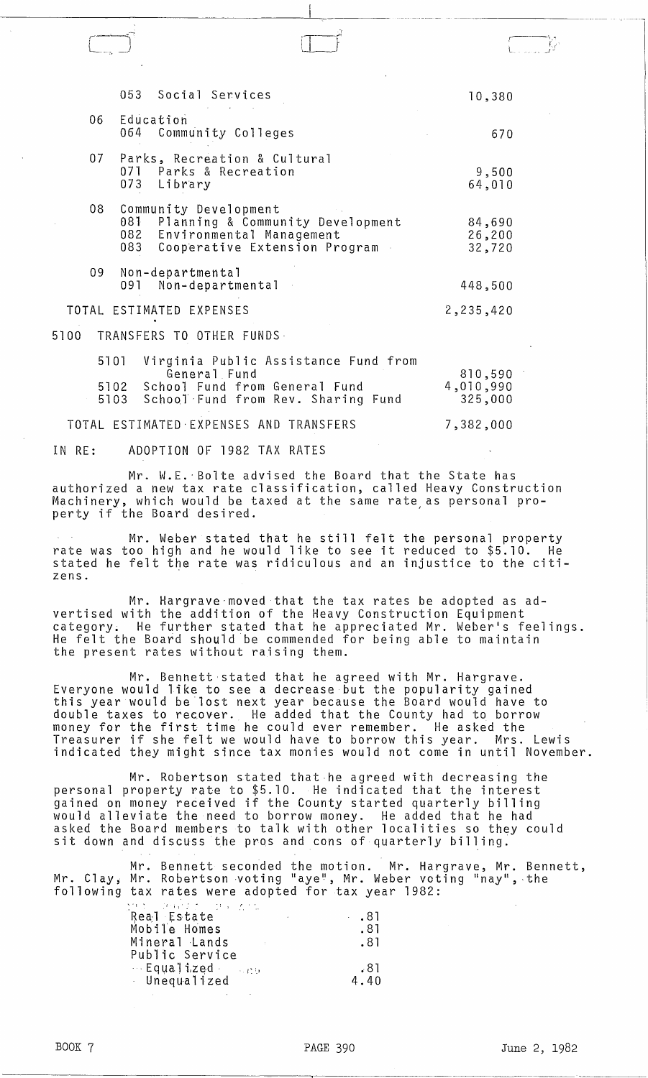|       |      | 053 Social Services                                                                                                                   | 10,380                          |  |
|-------|------|---------------------------------------------------------------------------------------------------------------------------------------|---------------------------------|--|
| 06    |      | Education<br>064 Community Colleges                                                                                                   | 670                             |  |
| 07    |      | Parks, Recreation & Cultural<br>071 Parks & Recreation<br>073 Library                                                                 | 9,500<br>64,010                 |  |
| 08    | 083  | Community Development<br>081 Planning & Community Development<br>082 Environmental Management<br>Cooperative Extension Program .      | 84,690<br>26,200<br>32,720      |  |
| 09    |      | Non-departmental<br>091 Non-departmental                                                                                              | 448,500                         |  |
|       |      | TOTAL ESTIMATED EXPENSES                                                                                                              | 2,235,420                       |  |
| 5100  |      | TRANSFERS TO OTHER FUNDS-                                                                                                             |                                 |  |
|       | 5101 | Virginia Public Assistance Fund from<br>General Fund<br>5102 School Fund from General Fund<br>5103 School Fund from Rev. Sharing Fund | 810,590<br>4,010,990<br>325,000 |  |
| TOTAL |      | ESTIMATED EXPENSES AND TRANSFERS                                                                                                      | 7,382,000                       |  |

---- ... \_--- - ---... - .. ------~

r---'

IN RE: ADOPTION OF 1982 TAX RATES

Mr. W.E. 'Bolte advised the Board that the State has authorized a new tax rate classification, called *Heavy* Construction Machinery, which would be taxed at the same rate as personal pronachinciy, which would be caked at the same rate,

Mr. Weber stated that he still felt the personal property rate was too high and he would like to see it reduced to \$5.10. He stated he felt the rate was ridiculous and an injustice to the citizens.

Mr. Hargrave-moved that the tax rates be adopted as advertised with the addition of the *Heavy* Construction Equipment category. He further stated that he appreciated Mr. Weber's feelings. He felt the Board should be commended for being able to maintain the present rates without raising them.

Mr. Bennett stated that he agreed with Mr. Hargrave. Everyone would like to see a decrease but the popularity gained this year would be lost next year because the Board would have to double taxes to recover. He added that the County had to borrow money for the first time he could *ever* remember. He asked the Treasurer if she felt we would *have* to borrow this year. Mrs. Lewis indicated they might since tax monies would not come in until November.

Mr. Robertson stated that-he agreed with decreasing the personal property rate to \$5.10. He indicated that the interest gained on money received if the County started quarterly billing would alleviate the need to borrow money. He added that he had asked the Board members to talk with other localities so they could sit down and discuss the pros and cons of quarterly billing.

Mr. Bennett seconded the motion. Mr. Hargrave, Mr. Bennett, Mr. Clay, Mr. Robertson voting "aye", Mr. Weber voting "nay", the following tax rates were adopted for tax year 1982:

| ひというかい おうし ひっしんかい<br>Real Estate<br>Mobile Homes | $\cdot$ .81<br>.81 |
|--------------------------------------------------|--------------------|
| Mineral Lands                                    | . 81               |
| Public Service                                   |                    |
| $\cdots$ Equalized $\cdots$                      | .81                |
| Unequalized                                      | 4.40               |
|                                                  |                    |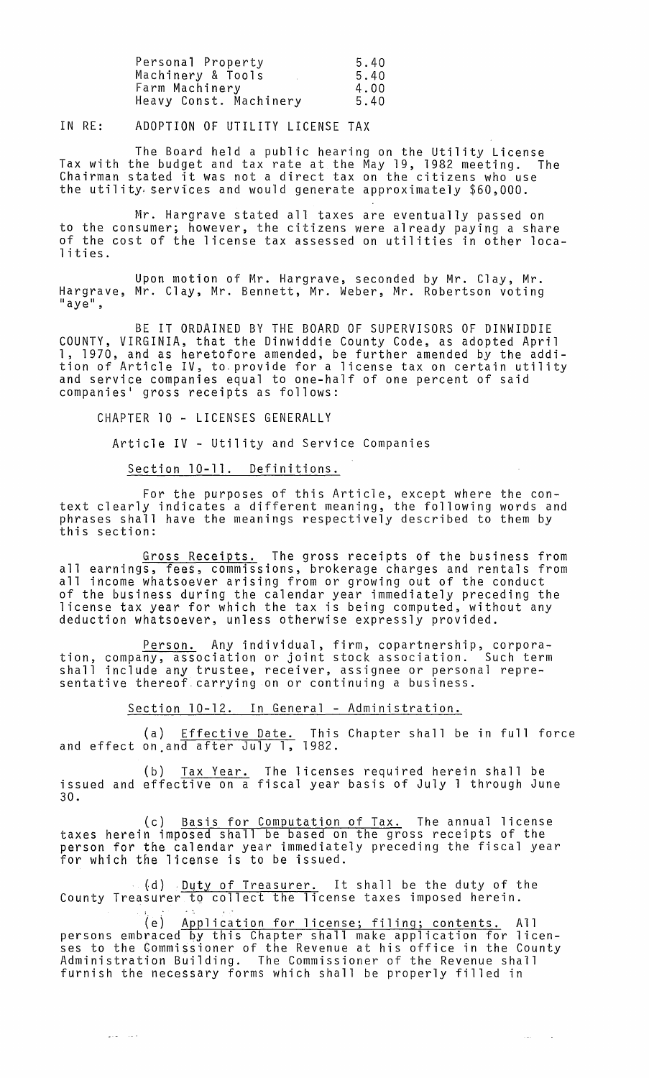| Personal Property      | 5.40 |
|------------------------|------|
| Machinery & Tools      | 5.40 |
| Farm Machinery         | 4.00 |
| Heavy Const. Machinery | 5.40 |

IN RE: ADOPTION OF UTILITY LICENSE TAX

The Board held a public hearing on the Utility License Tax with the budget and tax rate at the May 19, 1982 meeting. The Chairman stated it was not a direct tax on the citizens who use the utility services and would generate approximately \$60,000.

Mr. Hargrave stated all taxes are eventually passed on to the consumer; however, the citizens were already paying a share of the cost of the license tax assessed on utilities in other localities.

Upon motion of Mr. Hargrave, seconded by Mr. Clay, Mr. Hargrave, Mr. Clay, Mr. Bennett, Mr. Weber, Mr. Robertson voting<br>"aye",

BE IT ORDAINED BY THE BOARD OF SUPERVISORS OF DINWIDDIE COUNTY, VIRGINIA, that the Dinwiddie County Code, as adopted April 1, 1970, and as heretofore amended, be further amended by the addition of Article IV, to. provide for a license tax on certain utility and service companies equal to one-half of one percent of said companies' gross receipts as follows:

CHAPTER 10 - LICENSES GENERALLY

Article IV - Utility and Service Companies

# Section 10-11. Definitions.

For the purposes of this Article, except where the context clearly indicates a different meaning, the following words and phrases shall have the meanings respectively described to them by<br>this section:

Gross Receipts. The gross receipts of the business from all earnings, fees, commissions, brokerage charges and rentals from all income whatsoever arising from or growing out of the conduct of the business during the calendar year immediately preceding the license tax year for which the tax is being computed, without any deduction whatsoever, unless otherwise expressly provided.

Person. Any individual, firm, copartnership, corpora-<br>tion, company, association or joint stock association. Such term shall include any trustee, receiver, assignee or personal representative thereof. carrying on or continuing a business.

Section 10-12. In General - Administration.

(a) <u>Effective Date.</u> This Chapter shall be in full force and effect on and after July 1, 1982.

(b) Tax Year. The licenses required herein shall be issued and effective on a fiscal year basis of July 1 through June 30.

(c) Basis for Computation of Tax. The annual license taxes herein imposed shall be based on the gross receipts of the person for the calendar year immediately preceding the fiscal year for which the license is to be issued.

(d) <u>Duty of Treasurer.</u> It shall be the duty of the County Treasurer to collect the license taxes imposed herein.

(e) Application for license; filing; contents. All persons embraced by this Chapter shall make application for licenses to the Commissioner of the Revenue at his office in the County Administration Building. The Commissioner of the Revenue shall furnish the necessary forms which shall be properly filled in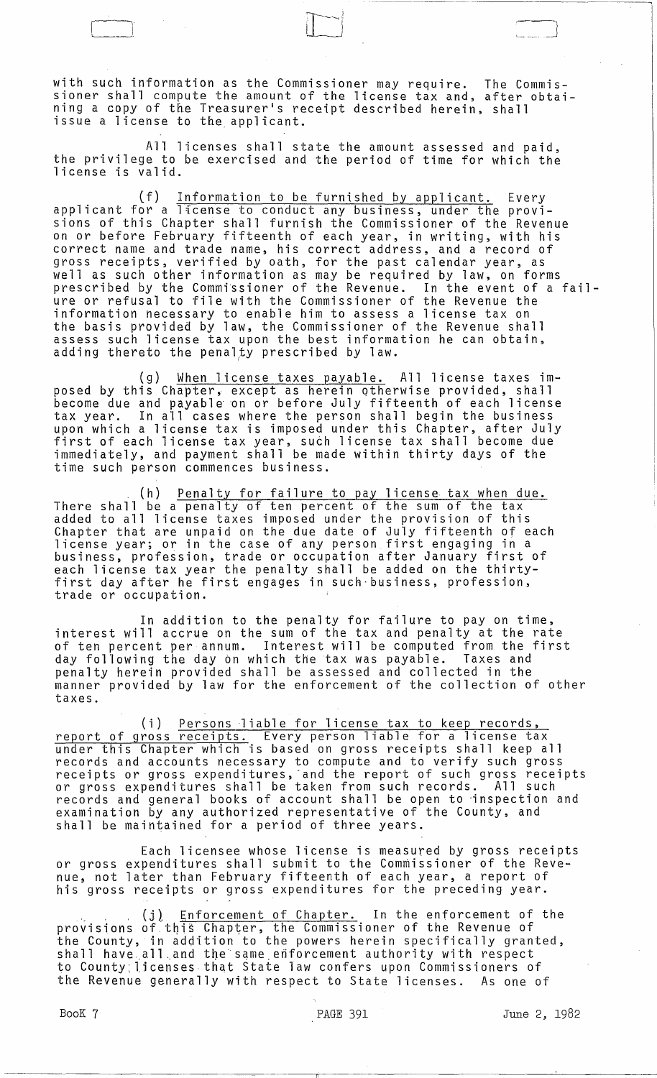with such information as the Commissioner may require. The Commissioner shall compute the amount of the license tax and, after obtaining a copy of the Treasurer's receipt described herein, shall issue a license to the applicant.

 $r$  )  $r$ 

~~--------- -- ------------~

All licenses shall state the amount assessed and paid, the privilege to be exercised and the period of time for which the license is valid.

(f) Information to be furnished by applicant. Every applicant for a license to conduct any business, under the provisions of this Chapter shall furnish the Commissioner of the Revenue on or before February fifteenth of each year, in writing, with his correct name and trade name, his correct address, and a record of gross receipts, verified by oath, for the past calendar year, as well as such other information as may be required by law, on forms prescribed by the Commissioner of the Revenue. In the event of a failure or refusal to file with the Commissioner of the Revenue the information necessary to enable him to assess a license tax on the basis provided by law, the Commissioner of the Revenue shall assess such license tax upon the best information he can obtain, adding thereto the penalty prescribed by law.

(g) When license taxes payable. All license taxes imposed by this Chapter, except as herein otherwise provided, shall become due and payable on or before July fifteenth of each license tax year. In all cases where the person shall begin the business upon which a license tax is imposed under this Chapter, after July apon which a ricense cax is imposed and trens onapter, are to our immediately, and payment shall be made within thirty days of the time such person commences business.

(h) Penalty for failure to pay license tax when due. There shall be a penalty of ten percent of the sum of the tax added to all license taxes imposed under the provision of this Chapter that are unpaid on the due date of July fifteenth of each license year; or in the case of any person first engaging in a hicense year, of the end case of any person this engaging in a each license tax year the penalty shall be added on the thirty- first day after he first engages in such·business, profession, trade or occupation.

In addition to the penalty for failure to pay on time, interest will accrue on the sum of the tax and penalty at the rate of ten percent per annum. Interest will be computed from the first day following the day On which the tax was payable. Taxes and penalty herein provided shall be assessed and collected in the manner provided by law for the enforcement of the collection of other taxes.

(i) Persons liable for license tax to keep records, report of gross receipts. Every person liable for a license tax under this Chapter which is based on gross receipts shall keep all records and accounts necessary to compute and to verify such gross<br>receipts or gross expenditures, and the report of such gross receipts or gross expenditures shall be taken from such records. All such records and general books of account shall be open to 'inspection and examination by any authorized representative of the County, and shall be maintained for a period of three years.

Each licensee whose license is measured by gross receipts or gross expenditures shall submit to the Commissioner of the Revenue, not later than February fifteenth of each year, a report of his gross receipts or gross expenditures for the preceding year .

 $\mathbf{u}_1$  . . . . (j) Enforcement of Chapter. In the enforcement of the provisions of this Chapter, the Commissioner of the Revenue of the County, in addition to the powers herein specifically granted, shall have all and the same enforcement authority with respect to County:licensesthat State law confers upon Commissioners of the Revenue generally with respect to State licenses. As one of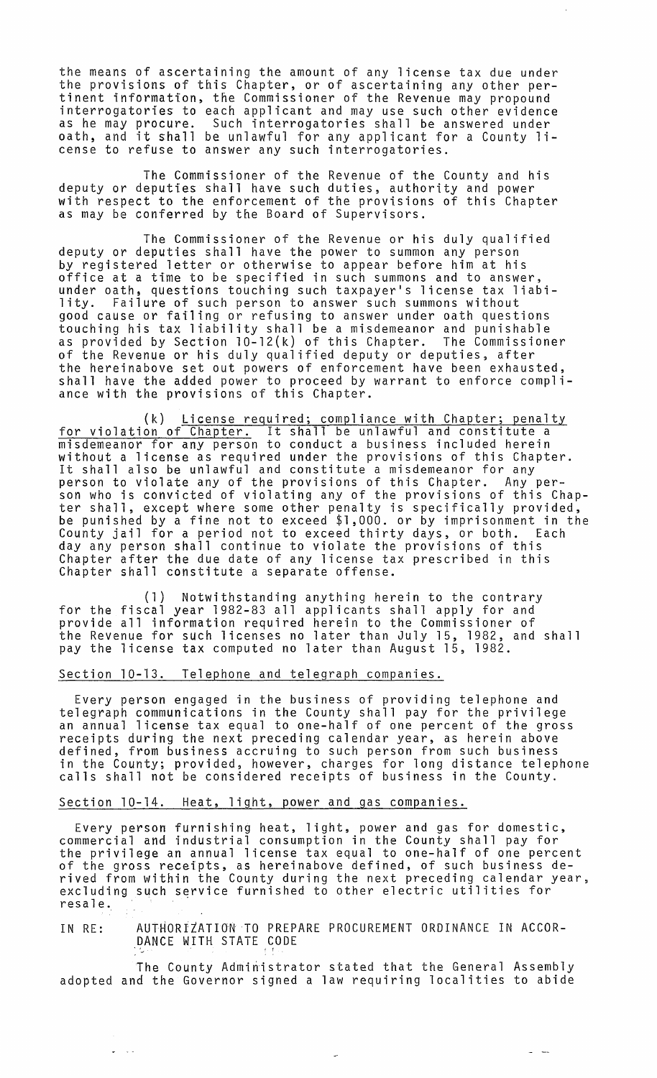the means of ascertaining the amount of any license tax due under the provisions of this Chapter, or of ascertaining any other pertinent information, *the* Commissioner of the Revenue may propound interrogatories to each applicant and may use such other evidence as he may procure. Such interrogatories shall be answered under oath, and it shall be unlawful for any applicant for a County **li**cense to refuse to answer any such interrogatories.

The Commissioner of the Revenue of the County and his deputy or deputies shall have such duties, authority and power with respect to the enforcement of the provisions of this Chapter as may be conferred by the Board of Supervisors.

The Commissioner of the Revenue or his duly qualified deputy or deputies shall have the power to summon any person by registered letter or otherwise to appear before him at his office at a time to be specified in such summons and to answer, under oath, questions touching such taxpayer's license tax liability. Failure of such person to answer such summons without good cause or failing or refusing to answer under oath questions touching his tax liability shall be a misdemeanor and punishable as provided by Section 10-12(k) of this Chapter. The Commissioner of the Revenue or his duly qualified deputy or deputies, after the hereinabove set out powers of enforcement have been exhausted, shall have the added power to proceed by warrant to enforce compliance with the provisions of this Chapter.

(k) License required; compliance with Chapter; penalty for violation of Chapter. It shall be unlawful and constitute a misdemeanor for any person to conduct a business included herein without a license as required under the provisions of this Chapter.<br>It shall also be unlawful and constitute a misdemeanor for any person to violate any of the provisions of this Chapter. Any person who is convicted of violating any of the provisions of this Chapter shall, except where some other penalty is specifically provided, be punished by a fine not to exceed \$1,000. or by imprisonment in the County jail for a period not to exceed thirty days, or both. Each day any person shall continue to violate the provisions of this Chapter after the due date of any license tax prescribed in this Chapter shall constitute a separate offense.

(1) Notwithstanding anything herein to the contrary for the fiscal year 1982-83 all applicants shall apply for and provide all information required herein to the Commissioner of the Revenue for such licenses no later than July 15, 1982, and shall pay the license tax computed no later than August 15, 1982.

### Section 10-13. Telephone and telegraph companies.

Every person engaged in the business of providing telephone and telegraph communications in the County shall pay for the privilege an annual license tax equal to one-half of one percent of the gross receipts during the next preceding calendar year, as herein above defined, from business accruing to such person from such business in the County; provided, however, charges for long distance telephone calls shall not be considered receipts of business in the County.

#### Section 10-14. Heat, light, power and gas companies.

 $\omega = \omega$  .

Every person furnishing heat, light, power and gas for domestic, commercial and industrial consumption in the County shall pay for the privilege an annual license tax equal to one-half of one percent<br>the privilege an annual license tax equal to one-half of one percent<br>of the gross receipts, as hereinabove defined, of such business deof the gross receipts, as hereinabove defined, of such business de-<br>rived from within the County during the next preceding calendar year,<br>excluding such service furnished to other electric utilities for resale. .

IN RE: AUTHORTZATION TO PREPARE PROCUREMENT ORDINANCE IN ACCOR-DANCE WITH STATE CODE

The County Administrator stated that the General Assembly adopted and the Governor signed a law requiring localities to abide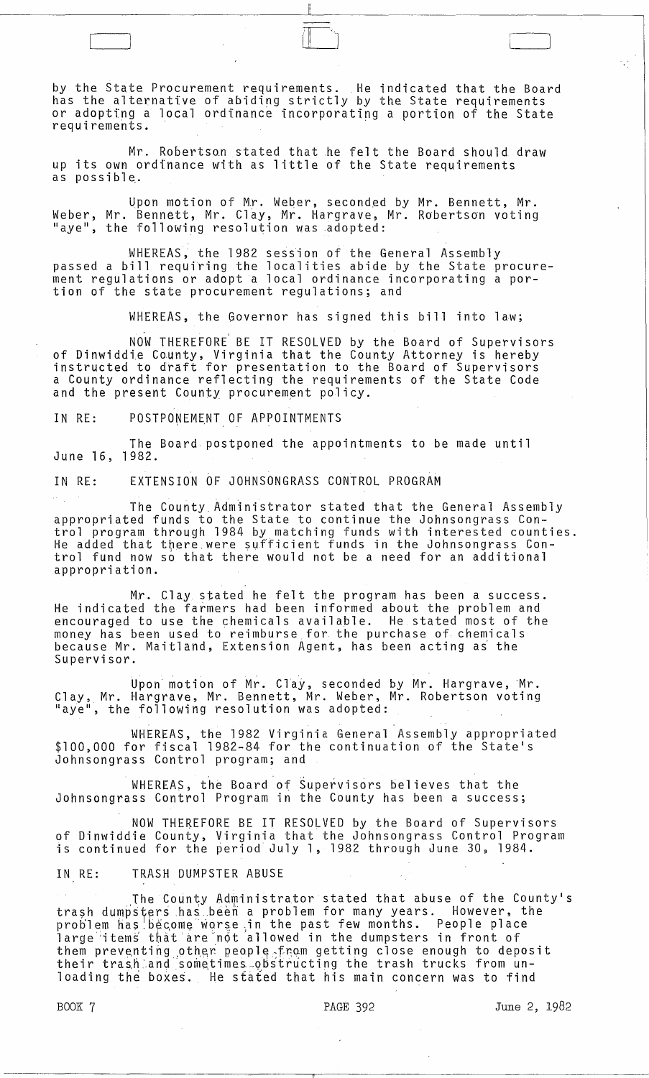by the State Procurement requirements. He indicated that the Board has the alternative of abiding strictly by the State requirements or adopting a local ordinance incorporating a portion of the State requirements.

Mr. Robertson stated that he felt the Board should draw up its own ordinance with as little of the State requirements as possible,.

Upon motion of Mr. Weber, seconded by Mr. Bennett, Mr. Weber, Mr. Bennett, Mr. Clay, Mr. Hargrave, Mr. Robertson voting "aye", the following resolution was adopted:

WHEREAS, the 1982 session of the General Assembly passed a bill requiring the localities abide by the State procurement regulations or adopt a local ordinance incorporating a portion of the state procurement regulations; and

WHEREAS, the Governor has signed this bill into law;

NOW THEREFORE BE IT RESOLVED by the Board of Supervisors of Dinwiddie County, Virginia that the County Attorney is hereby<br>instructed to draft for presentation to the Board of Supervisors a County ordinance reflecting the requirements of the State Code and the present County procurement policy.

IN RE: POSTPONEMENT OF APPOINTMENTS

The Board postponed the appointments to be made until June 16, 1982.

IN RE: EXTENSION OF JOHNSONGRASS CONTROL PROGRAM

The County Administrator stated that the General Assembly appropriated funds to the State to continue the Johnsongrass Control program through 1984 by matching funds with interested counties. dividend that there were sufficient funds in the Johnsongrass Control fund now so that there would not be a need for an additional appropriation.

Mr. Clay stated he felt the program has been a success. He indicated the farmers had been informed about the problem and encouraged to use the chemicals available. He stated most of the money has been used to reimburse for the purchase of· chemicals because Mr. Maitland, Extension Agent, has been acting as the Supervisor.

Upon motion of Mr. Clay, seconded by Mr. Hargrave, Mr.<br>Clay, Mr. Hargrave, Mr. Bennett, Mr. Weber, Mr. Robertson voting aye", the following resolution was adopted:

WHEREAS, the 1982 Virginia General Assembly appropriated \$100,000 for fiscal 1982-84 for the continuation of the State's Johnsongrass Control program; and

WHEREAS, the Board of Supervisors believes that the Johnsongrass Control Program in the County has been a success;

NOW THEREFORE BE IT RESOLVED by the Board of Supervisors of Dinwiddie County, Virginia that the Johnsongrass Control Program is continued for the period July 1, 1982 through June 30, 1984.

IN RE: TRASH DUMPSTER ABUSE

The County Administrator stated that abuse of the County's trash dumpsters has been a problem for many years. However, the problem has become worse in the past few months. People place large 'items that are-not allowed in the dumpsters in front of them preventing other people<sub>c</sub> from getting close enough to deposit their trash:and so~etimes-obstructing the trash trucks from unloading the boxes. He stated that his main concern was to find

-----------------------.,

 $\begin{pmatrix} 1 & 1 & 1 \\ 1 & 1 & 1 \end{pmatrix}$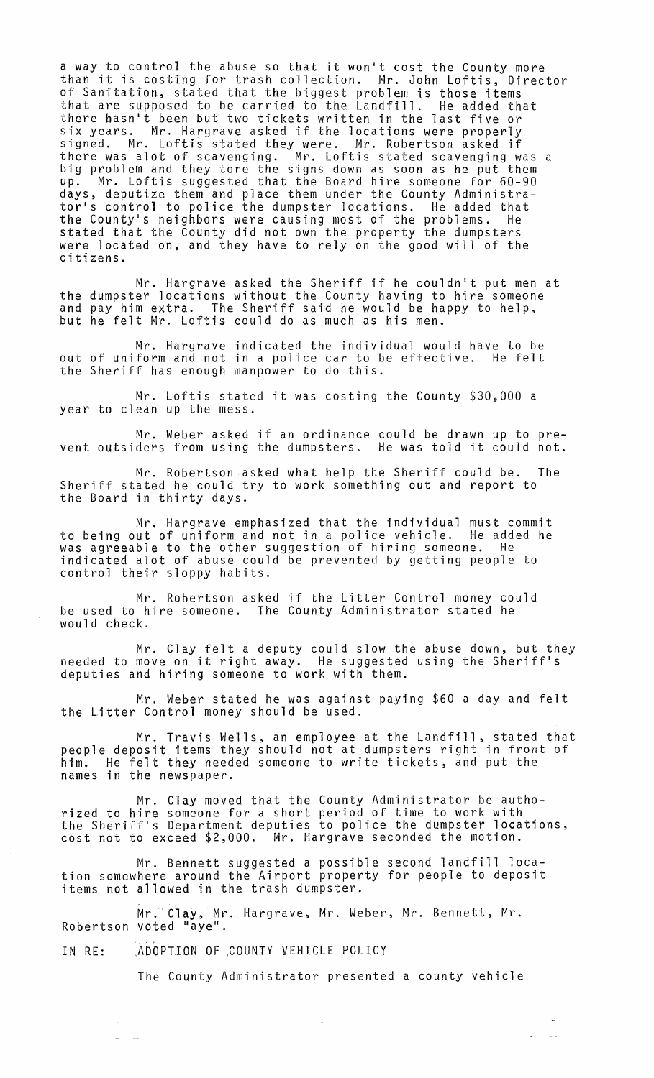a way to control the abuse so that it won't cost the County more than it is costing for trash collection. Mr. John Loftis, Director of Sanitation, stated that the biggest problem is those items that are supposed to be carried to the Landfill. He added that there hasn't been but two tickets written in the last five or six years. Mr. Hargrave asked if the locations were properly signed. Mr. Loftis stated they were. Mr. Robertson asked if there was alot of scavenging. Mr. Loftis stated scavenging was a big problem and they tore the signs down as soon as he put them up. Mr. Loftis suggested that the Board hire someone for 60-90 days, deputize them and place them under the County Administrator's control to police the dumpster locations. He added that the Countyls neighbors were causing most of the problems. He stated that the County did not own the property the dumpsters were located on, and they have to rely on the good will of the citizens.

Mr. Hargrave asked the Sheriff if he couldn't put men at the dumpster locations without the County having to hire someone and pay him extra. The Sheriff said he would be happy to help, but he felt Mr. Loftis could do as much as his men.

Mr. Hargrave indicated the individual would have to be out of uniform and not in a police car to be effective. He felt the Sheriff has enough manpower to do this.

Mr. Loftis stated it was costing the County \$30,000 a year to clean up the mess.

Mr. Weber asked if an ordinance could be drawn up to prevent outsiders from using the dumpsters. He was told it could not.

Mr. Robertson asked what help the Sheriff could be. The Sheriff stated he could try to work something out and report to the Board in thirty days.

Mr. Hargrave emphasized that the individual must commit to being out of uniform and not in a police vehicle. He added he was agreeable to the other suggestion of hiring someone. He indicated alot of abuse could be prevented by getting people to control their sloppy habits.

Mr. Robertson asked if the Litter Control money could be used to hire someone. The County Administrator stated he would check.

Mr. Clay felt a deputy could slow the abuse down, but they needed to move on it right away. He suggested using the Sheriff's<br>needed to move on it right away. He suggested using the Sheriff's deputies and hiring someone to work with them.

Mr. Weber stated he was against paying \$60 a day and felt the Litter Control money should be used.

Mr. Travis Wells, an employee at the Landfill, stated that people deposit items they should not at dumpsters right in front of him. He felt they needed someone to write tickets, and put the names in the newspaper.

Mr. Clay moved that the County Administrator be authorized to hire someone for a short period of time to work with the Sheriff's Department deputies to police the dumpster locations, cost not to exceed \$2,000. Mr. Hargrave seconded the motion.

Mr. Bennett suggested a possible second landfill location somewhere around the Airport property for people to deposit items not allowed in the trash dumpster.

Mr. Clay, Mr. Hargrave, Mr. Weber, Mr. Bennett, Mr. Robertson voted "aye".

IN RE: ADOPTION OF COUNTY VEHICLE POLICY

للمراد المند

The County Administrator presented a county vehicle

 $\sim$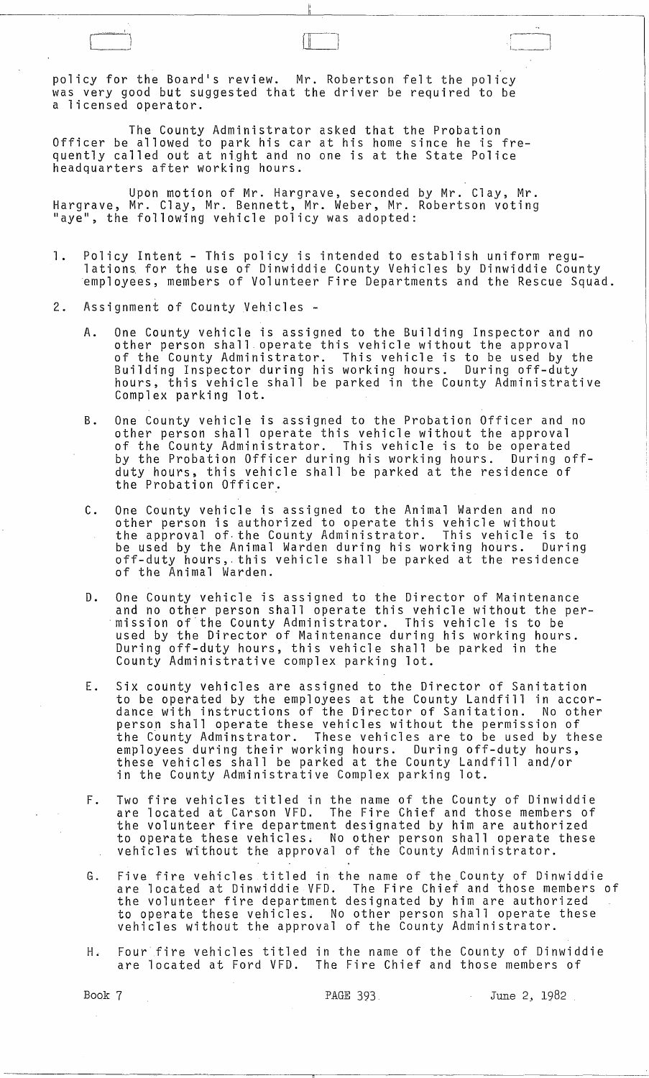policy for the Board's review. Mr. Robertson felt the policy was very good but suggested that the driver be required to be a licensed operator.

The County Administrator asked that the Probation Officer be allowed to park his car at his home since he is frequently called out at night and no one is at the State Police headquarters after working hours.

Upon motion of Mr. Hargrave, seconded by Mr. Clay, Mr. Hargrave, Mr. Clay, Mr. Bennett, Mr. Weber, Mr. Robertson voting "aye", the following vehicle policy was adopted:

- 1. Policy Intent This policy is intended to establish uniform regulations for the use of Dinwiddie County Vehicles by Dinwiddie County employees, members of Volunteer Fire Departments and the Rescue Squad.
- 2. Assignment of County Vehicles
	- A. One County vehicle is assigned to the Building Inspector and no other person shall operate this vehicle without the approval of the County Administrator. This vehicle is to be used by the Building Inspector during his working hours. During off-duty hours, this vehicle shall be parked in the County Administrative Complex parking lot.
	- B. One County vehicle is assigned to the Probation Officer and no other person shall operate this vehicle without the approval of the County Administrator. This vehicle is to be operated by the Probation Officer during his working hours. During offby the Probation Officer during his working hours. During off-<br>duty hours, this vehicle shall be parked at the residence of the Probation Officer.
	- C. One County vehicle is assigned to the Animal Warden and no other person is authorized to operate this vehicle without the approval of the County Administrator. This vehicle is to<br>be used by the Animal Warden during his working hours. During be used by the Animal Warden during his working hours. During<br>off-duty hours, this vehicle shall be parked at the residence of the Animal Warden.
	- D. One County vehicle is assigned to the Director of Maintenance and no other person shall operate this vehicle without the per- ·mission of the County Administrator. This vehicle is to be used by the Director of Maintenance during his working hours. During off-duty hours, this vehicle shall be parked in the County Administrative complex parking lot.
	- E. Six county vehicles are assigned to the Director of Sanitation to be operated by the employees at the County Landfill in accordance with instructions of the Director of Sanitation. No other person shall operate these vehicles without the permission of the County Adminstrator. These vehicles are to be used by these employees during their working hours. During off-duty hours, these vehicles shall be parked at the County Landfill and/or in the County Administrative Complex parking lot.
	- F. Two fire vehicles titled in the name of the County of Dinwiddie are located at Carson VFD. The Fire Chief and those members of the volunteer fire department designated by him are authorized to operate these vehicles; No other person shall operate these vehicles without the approval of the County Administrator.
	- G. Five fire vehicles titled in the name of the,County of Dinwiddie are located at Dinwiddie VFD. The Fire Chief and those members of the volunteer fire department designated by him are authorized to operate these vehicles. No other person shall operate these vehicles without the approval of the County Administrator.
	- H. Four fire vehicles titled in the name of the County of Dinwiddie The Fire Chief and those members of

Book 7 **PAGE 393** PAGE 393 June 2, 1982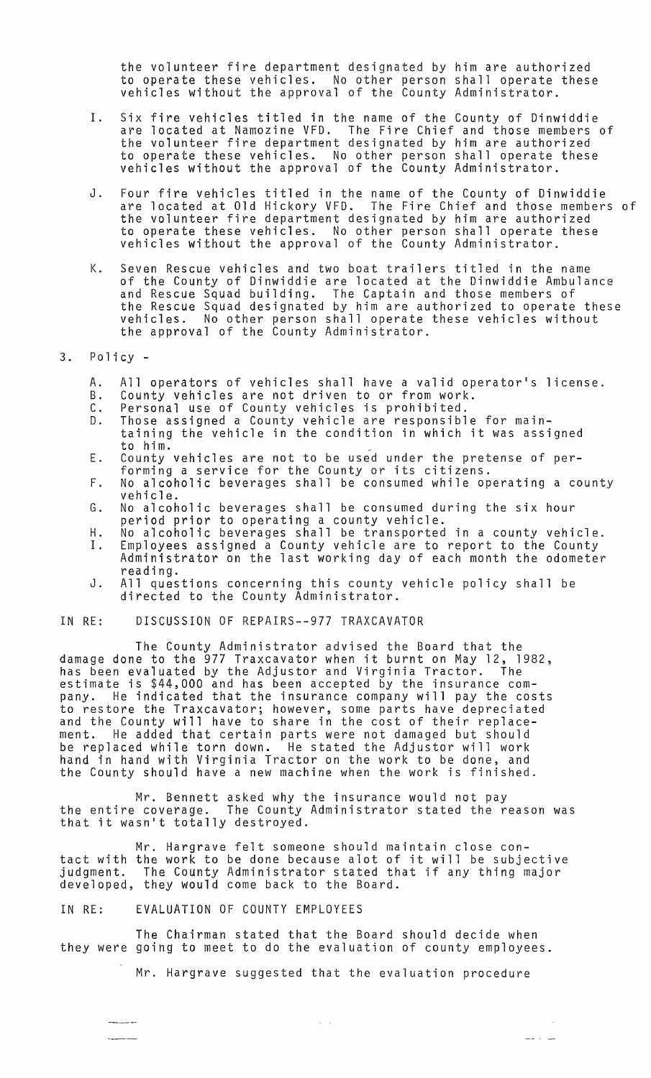the volunteer fire department designated by him are authorized to operate these vehicles. No other person shall operate these vehicles without the approval of the County Administrator.

- I. Six fire vehicles titled in the name of the County of Dinwiddie are located at Namozine VFD. The Fire Chief and those members of the volunteer fire department designated by him are authorized to operate these vehicles. No other person shall operate these vehicles without the approval of the County Administrator.
- J. Four fire vehicles titled in the name of the County of Dinwiddie are located at Old Hickory VFD. The Fire Chief and those members of the volunteer fire department designated by him are authorized to operate these vehicles. No other person shall operate these vehicles without the approval of the County Administrator.
- K. Seven Rescue vehicles and two boat trailers titled in the name of the County of Dinwiddie are located at the Dinwiddie Ambulance and Rescue Squad building. The Captain and those members of the Rescue Squad designated by him are authorized to operate these vehicles. No other person shall operate these vehicles without the approval of the County Administrator.

# 3. Policy-

- A. All operators of vehicles shall have a valid operator's license.
- B. County vehicles are not driven to or from work.
- C. Personal use of County vehicles is prohibited.
- D. Those assigned a County vehicle are responsible for maintaining the vehicle in the condition in which it was assigned
- E. to him.<br>County vehicles are not to be used under the pretense of per-<br>forming a service for the County or its citizens.
- F. No alcoholic beverages shall be consumed while operating a county vehicle.
- $G$ . No alcoholic beverages shall be consumed during the six hour period prior to operating a county vehicle.
- H. 1. No alcoholic beverages shall be transported in a county vehicle. Employees assigned a County vehicle are to report to the County
- Administrator on the last working day of each month the odometer reading.
- J. All questions concerning this county vehicle policy shall be directed to the County Administrator.

#### IN RE: DISCUSSION OF REPAIRS--977 TRAXCAVATOR

The County Administrator advised the Board that the damage done to the 977 Traxcavator when it burnt on May 12, 1982, has been evaluated by the Adjustor and Virginia Tractor. The estimate is \$44,000 and has been accepted by the insurance company. He indicated that the insurance company will pay the costs to restore the Traxcavator; however, some parts have depreciated and the County will have to share in the cost of their replacement. He added that certain parts were not damaged but should be replaced while torn down. He stated the Adjustor will work hand in hand with Virginia Tractor on the work to be done, and the County should have a new machine when the work is finished.

Mr. Bennett asked why the insurance would not pay the entire coverage. The County Administrator stated the reason was the entire coverage. The county formulation of the county of  $\sim$ 

Mr. Hargrave felt someone should maintain close contact with the work to be done because alot of it will be subjective judgment. The County Administrator stated that if any thing major developed, they would come back to the Board.

## IN RE: EVALUATION OF COUNTY EMPLOYEES

\_\_\_\_\_\_\_\_

The Chairman stated that the Board should decide when they were going to meet to do the evaluation of county employees.

Mr. Hargrave suggested that the evaluation procedure

 $\hat{z} = \hat{z}$ 

 $-$  -  $-$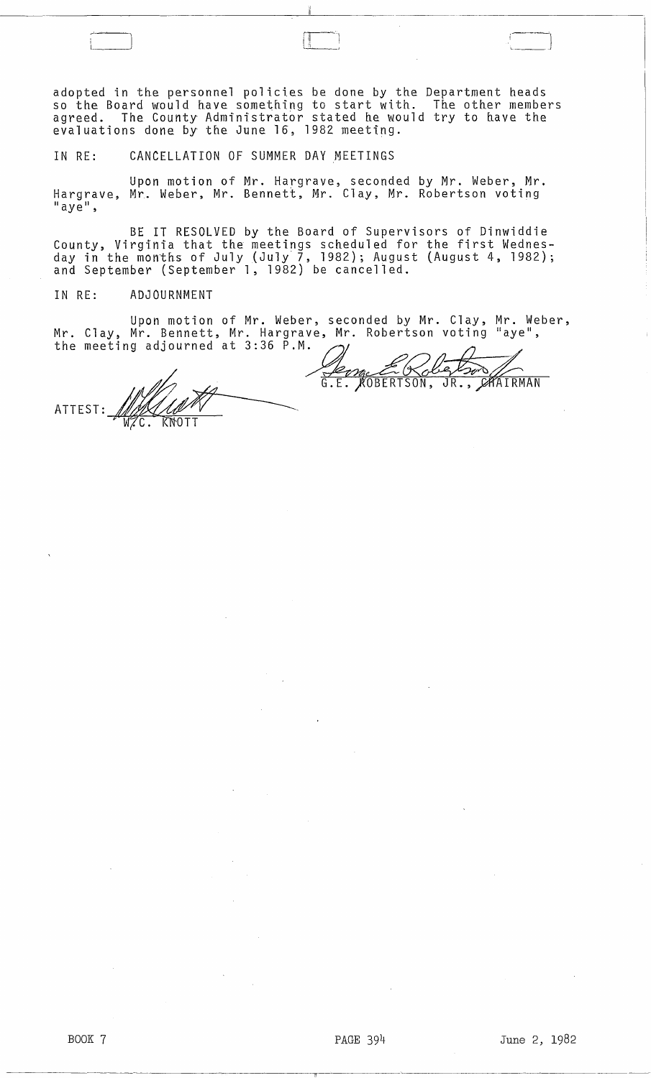adopted in the personnel policies be done by the Department heads so the Board would have something to start with. The other members agreed. The County Administrator stated he would try to have the evaluations done by the June 16, 1982 meeting.

IN RE: CANCELLATION OF SUMMER DAY MEETINGS

Upon motion of Mr. Hargrave, seconded by Mr. Weber, Mr. Hargrave, Mr. Weber, Mr. Bennett, Mr. Clay, Mr. Robertson voting  $"$  aye $"$ ,

BE IT RESOLVED by the Board of Supervisors of Dinwiddie County, Virginia that the meetings scheduled for the first Wednesday in the months of July {July 7, 1982); August (August 4, 1982); and September (September 1, 1982) be cancell ed.

IN RE: ADJOURNMENT

-'--

Upon motion of Mr. Weber, seconded by Mr. Clay, Clay, Mr. Bennett, Mr. Hargrave, Mr. Robertson voting Mr. Weber, Mr. Clay, Mr. Bennett, Mr. Hargrave, Mr. Robertson voting "aye", the

meeting adjourned at 3:36  $\cdot$  .....  $\mathcal{A}$   $\mathcal{A}$ KOBERTSON,  $\overline{\mathsf{JR.}}$  , CAAIRMAN  $G.E.$ ATTEST: MAXIMU

 $\overline{\phantom{0}}$  $\begin{pmatrix} \frac{1}{2} & \frac{1}{2} \\ \frac{1}{2} & \frac{1}{2} \end{pmatrix}$